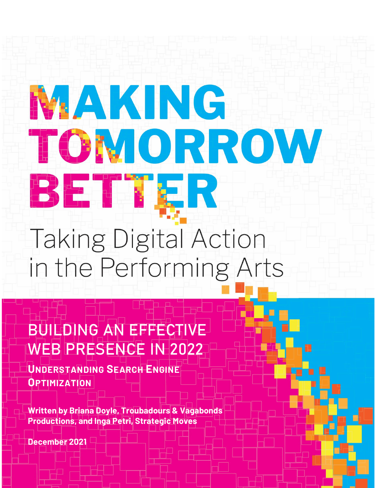# **NAKING** TOMORROW BETTER **Taking Digital Action**

in the Performing Arts

BUILDING AN EFFECTIVE WEB PRESENCE IN 2022

**UNDERSTANDING SEARCH ENGINE OPTIMIZATION** 

**Written by Briana Doyle, Troubadours & Vagabonds Productions, and Inga Petri, Strategic Moves**

**December 2021**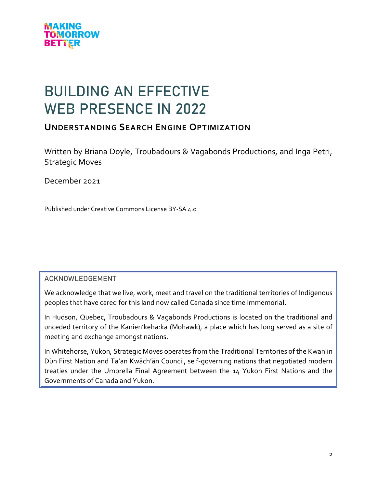

# BUILDING AN EFFECTIVE WEB PRESENCE IN 2022

# **UNDERSTANDING SEARCH ENGINE OPTIMIZATION**

Written by Briana Doyle, Troubadours & Vagabonds Productions, and Inga Petri, Strategic Moves

December 2021

Published under Creative Commons License BY-SA 4.0

#### ACKNOWLEDGEMENT

We acknowledge that we live, work, meet and travel on the traditional territories of Indigenous peoples that have cared for this land now called Canada since time immemorial.

In Hudson, Quebec, Troubadours & Vagabonds Productions is located on the traditional and unceded territory of the Kanien'keha:ka (Mohawk), a place which has long served as a site of meeting and exchange amongst nations.

In Whitehorse, Yukon, Strategic Moves operates from the Traditional Territories of the Kwanlin Dün First Nation and Ta'an Kwäch'än Council, self-governing nations that negotiated modern treaties under the Umbrella Final Agreement between the 14 Yukon First Nations and the Governments of Canada and Yukon.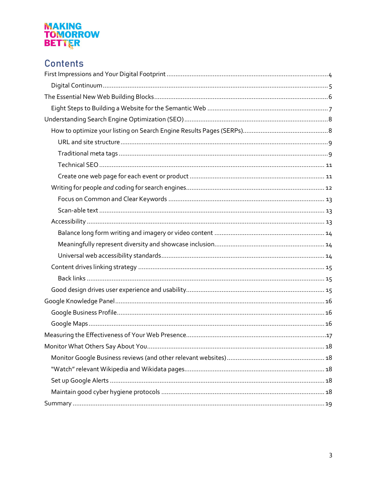# **MAKING<br>TOMORROW<br>BETTER**

# **Contents**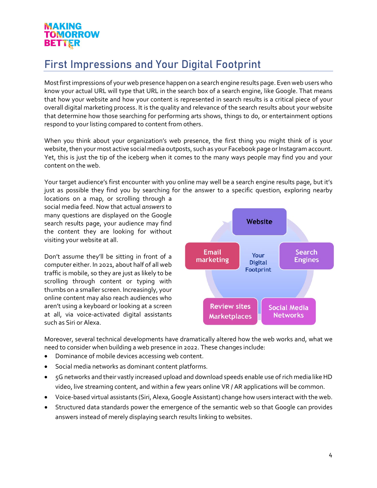# <span id="page-3-0"></span>First Impressions and Your Digital Footprint

Most first impressions of your web presence happen on a search engine results page. Even web users who know your actual URL will type that URL in the search box of a search engine, like Google. That means that how your website and how your content is represented in search results is a critical piece of your overall digital marketing process. It is the quality and relevance of the search results about your website that determine how those searching for performing arts shows, things to do, or entertainment options respond to your listing compared to content from others.

When you think about your organization's web presence, the first thing you might think of is your website, then your most active social media outposts, such as your Facebook page or Instagram account. Yet, this is just the tip of the iceberg when it comes to the many ways people may find you and your content on the web.

Your target audience's first encounter with you online may well be a search engine results page, but it's just as possible they find you by searching for the answer to a specific question, exploring nearby

locations on a map, or scrolling through a social media feed. Now that actual *answers*to many questions are displayed on the Google search results page, your audience may find the content they are looking for without visiting your website at all.

Don't assume they'll be sitting in front of a computer either. In 2021, about half of all web traffic is mobile, so they are just as likely to be scrolling through content or typing with thumbs on a smaller screen. Increasingly, your online content may also reach audiences who aren't using a keyboard or looking at a screen at all, via voice-activated digital assistants such as Siri or Alexa.



Moreover, several technical developments have dramatically altered how the web works and, what we need to consider when building a web presence in 2022. These changes include:

- Dominance of mobile devices accessing web content.
- Social media networks as dominant content platforms.
- 5G networks and their vastly increased upload and download speeds enable use of rich media likeHD video, live streaming content, and within a few years online VR / AR applications will be common.
- Voice-based virtual assistants (Siri, Alexa, Google Assistant) change how users interact with the web.
- Structured data standards power the emergence of the semantic web so that Google can provides answers instead of merely displaying search results linking to websites.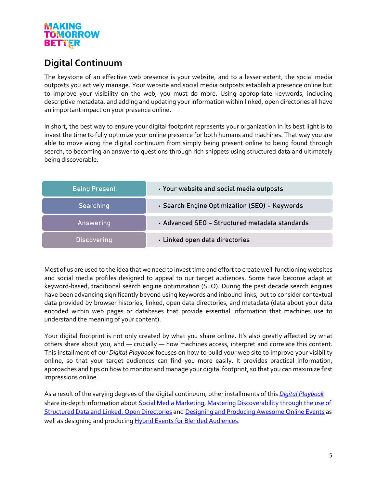# <span id="page-4-0"></span>**Digital Continuum**

The keystone of an effective web presence is your website, and to a lesser extent, the social media outposts you actively manage. Your website and social media outposts establish a presence online but to improve your visibility on the web, you must do more. Using appropriate keywords, including descriptive metadata, and adding and updating your information within linked, open directories all have an important impact on your presence online.

In short, the best way to ensure your digital footprint represents your organization in its best light is to invest the time to fully optimize your online presence for both humans and machines. That way you are able to move along the digital continuum from simply being present online to being found through search, to becoming an answer to questions through rich snippets using structured data and ultimately being discoverable.

| <b>Being Present</b> | · Your website and social media outposts       |
|----------------------|------------------------------------------------|
| Searching            | · Search Engine Optimization (SEO) - Keywords  |
| Answering            | • Advanced SEO - Structured metadata standards |
| <b>Discovering</b>   | · Linked open data directories                 |

Most of us are used to the idea that we need to invest time and effort to create well-functioning websites and social media profiles designed to appeal to our target audiences. Some have become adapt at keyword-based, traditional search engine optimization (SEO). During the past decade search engines have been advancing significantly beyond using keywords and inbound links, but to consider contextual data provided by browser histories, linked, open data directories, and metadata (data about your data encoded within web pages or databases that provide essential information that machines use to understand the meaning of your content).

Your digital footprint is not only created by what you share online. It's also greatly affected by what others share about you, and — crucially — how machines access, interpret and correlate this content. This installment of our *Digital Playbook* focuses on how to build your web site to improve your visibility online, so that your target audiences can find you more easily. It provides practical information, approaches and tips on how to monitor and manage your digital footprint, so that you can maximize first impressions online.

As a result of the varying degrees of the digital continuum, other installments of this *[Digital Playbook](https://digitalartsnation.ca/digital-playbook/)* share in-depth information abou[t Social Media Marketing,](https://digitalartsnation.ca/digital-playbook/social-media-marketing-playbook/) Mastering Discoverability through the use of [Structured Data and Linked, Open Directories](https://digitalartsnation.ca/digital-playbook/mastering-discoverability-for-the-performing-arts/) and [Designing and Producing Awesome Online Events](https://digitalartsnation.ca/digital-playbook/how-to-create-awesome-online-conferences/) as well as designing and producin[g Hybrid Events](https://digitalartsnation.ca/digital-playbook/how-to-design-events-for-blended-audiences/) for Blended Audiences.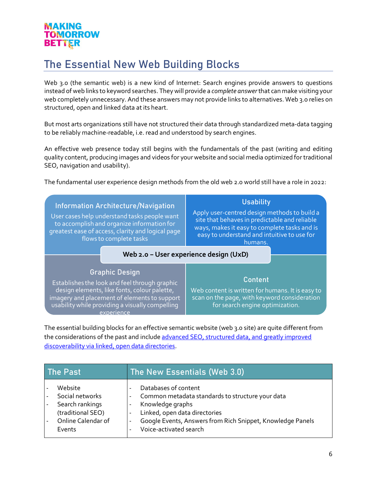# <span id="page-5-0"></span>The Essential New Web Building Blocks

Web 3.0 (the semantic web) is a new kind of Internet: Search engines provide answers to questions instead of web links to keyword searches. They will provide a *complete answer*that can make visiting your web completely unnecessary. And these answers may not provide links to alternatives. Web 3.0 relies on structured, open and linked data at its heart.

But most arts organizations still have not structured their data through standardized meta-data tagging to be reliably machine-readable, i.e. read and understood by search engines.

An effective web presence today still begins with the fundamentals of the past (writing and editing quality content, producing images and videos for your website and social media optimized for traditional SEO, navigation and usability).

The fundamental user experience design methods from the old web 2.0 world still have a role in 2022:

| <b>Information Architecture/Navigation</b><br>User cases help understand tasks people want<br>to accomplish and organize information for<br>greatest ease of access, clarity and logical page<br>flows to complete tasks                | <b>Usability</b><br>Apply user-centred design methods to build a<br>site that behaves in predictable and reliable<br>ways, makes it easy to complete tasks and is<br>easy to understand and intuitive to use for<br>humans.<br>Web 2.0 - User experience design (UxD) |
|-----------------------------------------------------------------------------------------------------------------------------------------------------------------------------------------------------------------------------------------|-----------------------------------------------------------------------------------------------------------------------------------------------------------------------------------------------------------------------------------------------------------------------|
| <b>Graphic Design</b><br>Establishes the look and feel through graphic<br>design elements, like fonts, colour palette,<br>imagery and placement of elements to support<br>usability while providing a visually compelling<br>experience | <b>Content</b><br>Web content is written for humans. It is easy to<br>scan on the page, with keyword consideration<br>for search engine optimization.                                                                                                                 |

The essential building blocks for an effective semantic website (web 3.0 site) are quite different from the considerations of the past and include [advanced SEO, structured data, and greatly improved](https://digitalartsnation.ca/digital-playbook/mastering-discoverability-for-the-performing-arts/) [discoverability via linked, open data directories.](https://digitalartsnation.ca/digital-playbook/mastering-discoverability-for-the-performing-arts/)

| The Past           | The New Essentials (Web 3.0)                               |
|--------------------|------------------------------------------------------------|
| Website            | Databases of content                                       |
| Social networks    | Common metadata standards to structure your data           |
| Search rankings    | Knowledge graphs                                           |
| (traditional SEO)  | Linked, open data directories                              |
| Online Calendar of | Google Events, Answers from Rich Snippet, Knowledge Panels |
| Events             | Voice-activated search                                     |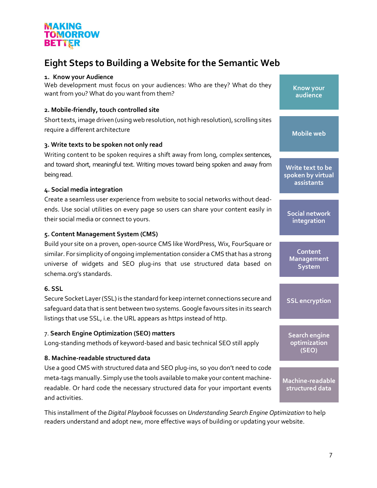# <span id="page-6-0"></span>**Eight Steps to Building a Website for the Semantic Web**

#### **1. Know your Audience**

Web development must focus on your audiences: Who are they? What do they want from you? What do you want from them?

#### **2. Mobile-friendly, touch controlled site**

Short texts, image driven (using web resolution, not high resolution), scrolling sites require a different architecture

#### **3. Write texts to be spoken not only read**

Writing content to be spoken requires a shift away from long, complex sentences, and toward short, meaningful text. Writing moves toward being spoken and away from being read.

#### **4. Social media integration**

Create a seamless user experience from website to social networks without deadends. Use social utilities on every page so users can share your content easily in their social media or connect to yours.

#### **5. Content Management System (CMS)**

Build your site on a proven, open-source CMS like WordPress, Wix, FourSquare or similar. For simplicity of ongoing implementation consider a CMS that has a strong universe of widgets and SEO plug-ins that use structured data based on schema.org's standards.

#### **6. SSL**

Secure Socket Layer (SSL) is the standard for keep internet connections secure and safeguard data that is sent between two systems. Google favours sites in its search listings that use SSL, i.e. the URL appears as https instead of http.

#### 7. **Search Engine Optimization (SEO) matters**

Long-standing methods of keyword-based and basic technical SEO still apply

#### **8. Machine-readable structured data**

Use a good CMS with structured data and SEO plug-ins, so you don't need to code meta-tags manually. Simply use the tools available to make your content machinereadable. Or hard code the necessary structured data for your important events and activities.

This installment of the *Digital Playbook* focusses on *Understanding Search Engine Optimization* to help readers understand and adopt new, more effective ways of building or updating your website.

**Know your audience**

**Mobile web** 

**Write text to be spoken by virtual assistants**

**Social network integration**

**Content Management System**

**SSL encryption**

**Search engine optimization (SEO)**

**Machine-readable structured data**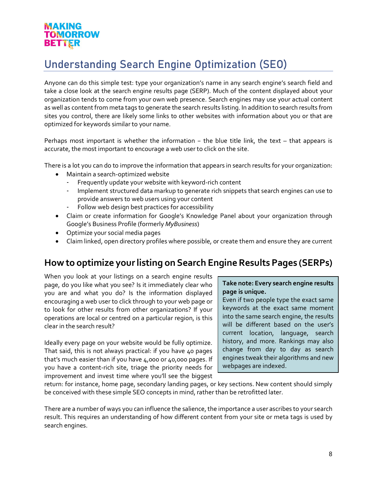# <span id="page-7-0"></span>Understanding Search Engine Optimization (SEO)

Anyone can do this simple test: type your organization's name in any search engine's search field and take a close look at the search engine results page (SERP). Much of the content displayed about your organization tends to come from your own web presence. Search engines may use your actual content as well as content from meta tags to generate the search results listing. In addition to search results from sites you control, there are likely some links to other websites with information about you or that are optimized for keywords similar to your name.

Perhaps most important is whether the information – the blue title link, the text – that appears is accurate, the most important to encourage a web user to click on the site.

There is a lot you can do to improve the information that appears in search results for your organization:

- Maintain a search-optimized website
	- Frequently update your website with keyword-rich content
	- Implement structured data markup to generate rich snippets that search engines can use to provide answers to web users using your content
	- Follow web design best practices for accessibility
- Claim or create information for Google's Knowledge Panel about your organization through Google's Business Profile (formerly *MyBusiness*)
- Optimize your social media pages
- Claim linked, open directory profiles where possible, or create them and ensure they are current

# <span id="page-7-1"></span>**How to optimize your listing on Search Engine Results Pages (SERPs)**

When you look at your listings on a search engine results page, do you like what you see? Is it immediately clear who you are and what you do? Is the information displayed encouraging a web user to click through to your web page or to look for other results from other organizations? If your operations are local or centred on a particular region, is this clear in the search result?

Ideally every page on your website would be fully optimize. That said, this is not always practical: if you have 40 pages that's much easier than if you have 4,000 or 40,000 pages. If you have a content-rich site, triage the priority needs for improvement and invest time where you'll see the biggest

#### **Take note: Every search engine results page is unique.**

Even if two people type the exact same keywords at the exact same moment into the same search engine, the results will be different based on the user's current location, language, search history, and more. Rankings may also change from day to day as search engines tweak their algorithms and new webpages are indexed.

return: for instance, home page, secondary landing pages, or key sections. New content should simply be conceived with these simple SEO concepts in mind, rather than be retrofitted later.

There are a number of ways you can influence the salience, the importance a user ascribes to your search result. This requires an understanding of how different content from your site or meta tags is used by search engines.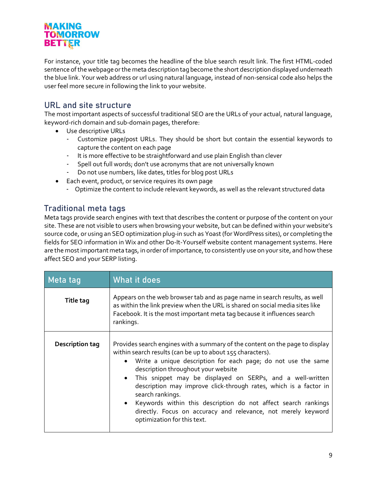For instance, your title tag becomes the headline of the blue search result link. The first HTML-coded sentence of the webpage or the meta description tag become the short description displayed underneath the blue link. Your web address or url using natural language, instead of non-sensical code also helps the user feel more secure in following the link to your website.

# <span id="page-8-0"></span>URL and site structure

The most important aspects of successful traditional SEO are the URLs of your actual, natural language, keyword-rich domain and sub-domain pages, therefore:

- Use descriptive URLs
	- Customize page/post URLs. They should be short but contain the essential keywords to capture the content on each page
	- It is more effective to be straightforward and use plain English than clever
	- Spell out full words; don't use acronyms that are not universally known
	- Do not use numbers, like dates, titles for blog post URLs
	- Each event, product, or service requires its own page
	- Optimize the content to include relevant keywords, as well as the relevant structured data

# <span id="page-8-1"></span>Traditional meta tags

Meta tags provide search engines with text that describes the content or purpose of the content on your site. These are not visible to users when browsing your website, but can be defined within your website's source code, or using an SEO optimization plug-in such as Yoast (for WordPress sites), or completing the fields for SEO information in Wix and other Do-It-Yourself website content management systems. Here are the most important meta tags, in order of importance, to consistently use on your site, and how these affect SEO and your SERP listing.

| Meta tag         | What it does                                                                                                                                                                                                                                                                                                                                                                                                                                                                                                                                                                      |
|------------------|-----------------------------------------------------------------------------------------------------------------------------------------------------------------------------------------------------------------------------------------------------------------------------------------------------------------------------------------------------------------------------------------------------------------------------------------------------------------------------------------------------------------------------------------------------------------------------------|
| <b>Title tag</b> | Appears on the web browser tab and as page name in search results, as well<br>as within the link preview when the URL is shared on social media sites like<br>Facebook. It is the most important meta tag because it influences search<br>rankings.                                                                                                                                                                                                                                                                                                                               |
| Description tag  | Provides search engines with a summary of the content on the page to display<br>within search results (can be up to about 155 characters).<br>• Write a unique description for each page; do not use the same<br>description throughout your website<br>• This snippet may be displayed on SERPs, and a well-written<br>description may improve click-through rates, which is a factor in<br>search rankings.<br>• Keywords within this description do not affect search rankings<br>directly. Focus on accuracy and relevance, not merely keyword<br>optimization for this text. |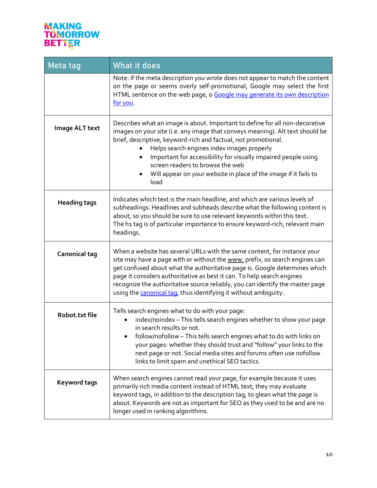# **MAKING<br>TOMORROW<br>BETTER**

| Meta tag             | What it does                                                                                                                                                                                                                                                                                                                                                                                                                                                        |
|----------------------|---------------------------------------------------------------------------------------------------------------------------------------------------------------------------------------------------------------------------------------------------------------------------------------------------------------------------------------------------------------------------------------------------------------------------------------------------------------------|
|                      | Note: if the meta description you wrote does not appear to match the content<br>on the page or seems overly self-promotional, Google may select the first<br>HTML sentence on the web page, o Google may generate its own description<br>for you.                                                                                                                                                                                                                   |
| Image ALT text       | Describes what an image is about. Important to define for all non-decorative<br>images on your site (i.e. any image that conveys meaning). Alt text should be<br>brief, descriptive, keyword-rich and factual, not promotional.<br>Helps search engines index images properly<br>Important for accessibility for visually impaired people using<br>screen readers to browse the web<br>Will appear on your website in place of the image if it fails to<br>load     |
| <b>Heading tags</b>  | Indicates which text is the main headline, and which are various levels of<br>subheadings. Headlines and subheads describe what the following content is<br>about, so you should be sure to use relevant keywords within this text.<br>The h1 tag is of particular importance to ensure keyword-rich, relevant main<br>headings.                                                                                                                                    |
| <b>Canonical tag</b> | When a website has several URLs with the same content, for instance your<br>site may have a page with or without the www. prefix, so search engines can<br>get confused about what the authoritative page is. Google determines which<br>page it considers authoritative as best it can. To help search engines<br>recognize the authoritative source reliably, you can identify the master page<br>using the canonical tag, thus identifying it without ambiguity. |
| Robot.txt file       | Tells search engines what to do with your page:<br>index/noindex - This tells search engines whether to show your page<br>in search results or not.<br>follow/nofollow - This tells search engines what to do with links on<br>your pages: whether they should trust and "follow" your links to the<br>next page or not. Social media sites and forums often use nofollow<br>links to limit spam and unethical SEO tactics.                                         |
| <b>Keyword tags</b>  | When search engines cannot read your page, for example because it uses<br>primarily rich media content instead of HTML text, they may evaluate<br>keyword tags, in addition to the description tag, to glean what the page is<br>about. Keywords are not as important for SEO as they used to be and are no<br>longer used in ranking algorithms.                                                                                                                   |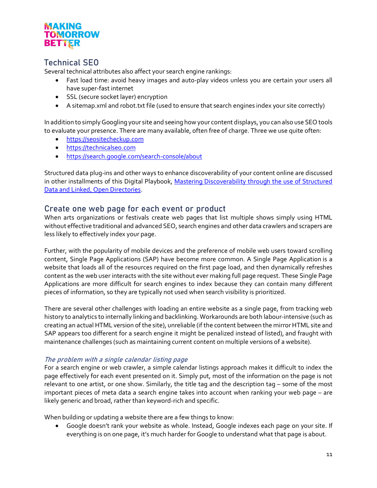# <span id="page-10-0"></span>Technical SEO

Several technical attributes also affect your search engine rankings:

- Fast load time: avoid heavy images and auto-play videos unless you are certain your users all have super-fast internet
- SSL (secure socket layer) encryption
- A sitemap.xml and robot.txt file (used to ensure that search engines index your site correctly)

In addition to simply Googling your site and seeing how your content displays, you can also use SEO tools to evaluate your presence. There are many available, often free of charge. Three we use quite often:

- [https://seositecheckup.com](https://seositecheckup.com/)
- [https://technicalseo.com](https://technicalseo.com/)
- <https://search.google.com/search-console/about>

Structured data plug-ins and other ways to enhance discoverability of your content online are discussed in other installments of this Digital Playbook, Mastering Discoverability through the use of Structured [Data and Linked, Open Directories.](https://digitalartsnation.ca/digital-playbook/mastering-discoverability-for-the-performing-arts/)

# <span id="page-10-1"></span>Create one web page for each event or product

When arts organizations or festivals create web pages that list multiple shows simply using HTML without effective traditional and advanced SEO, search engines and other data crawlers and scrapers are less likely to effectively index your page.

Further, with the popularity of mobile devices and the preference of mobile web users toward scrolling content, Single Page Applications (SAP) have become more common. A Single Page Application is a website that loads all of the resources required on the first page load, and then dynamically refreshes content as the web user interacts with the site without ever making full page request. These Single Page Applications are more difficult for search engines to index because they can contain many different pieces of information, so they are typically not used when search visibility is prioritized.

There are several other challenges with loading an entire website as a single page, from tracking web history to analytics to internally linking and backlinking. Workarounds are both labour-intensive (such as creating an actual HTML version of the site), unreliable (if the content between the mirror HTML site and SAP appears too different for a search engine it might be penalized instead of listed), and fraught with maintenance challenges (such as maintaining current content on multiple versions of a website).

#### The problem with a single calendar listing page

For a search engine or web crawler, a simple calendar listings approach makes it difficult to index the page effectively for each event presented on it. Simply put, most of the information on the page is not relevant to one artist, or one show. Similarly, the title tag and the description tag – some of the most important pieces of meta data a search engine takes into account when ranking your web page – are likely generic and broad, rather than keyword-rich and specific.

When building or updating a website there are a few things to know:

• Google doesn't rank your website as whole. Instead, Google indexes each page on your site. If everything is on one page, it's much harder for Google to understand what that page is about.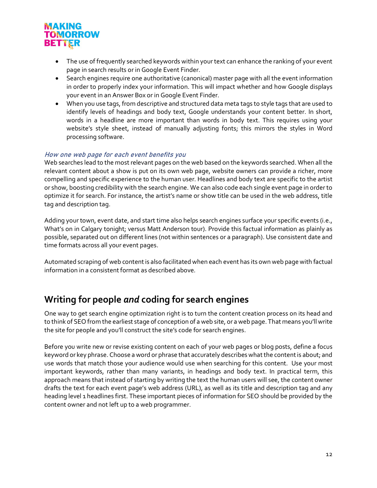

- The use of frequently searched keywords within your text can enhance the ranking of your event page in search results or in Google Event Finder.
- Search engines require one authoritative (canonical) master page with all the event information in order to properly index your information. This will impact whether and how Google displays your event in an Answer Box or in Google Event Finder.
- When you use tags, from descriptive and structured data meta tags to style tags that are used to identify levels of headings and body text, Google understands your content better. In short, words in a headline are more important than words in body text. This requires using your website's style sheet, instead of manually adjusting fonts; this mirrors the styles in Word processing software.

#### How one web page for each event benefits you

Web searches lead to the most relevant pages on the web based on the keywords searched. When all the relevant content about a show is put on its own web page, website owners can provide a richer, more compelling and specific experience to the human user. Headlines and body text are specific to the artist or show, boosting credibility with the search engine. We can also code each single event page in order to optimize it for search. For instance, the artist's name or show title can be used in the web address, title tag and description tag.

Adding your town, event date, and start time also helps search engines surface your specific events (i.e., What's on in Calgary tonight; versus Matt Anderson tour). Provide this factual information as plainly as possible, separated out on different lines (not within sentences or a paragraph). Use consistent date and time formats across all your event pages.

Automated scraping of web content is also facilitated when each event has its own web page with factual information in a consistent format as described above.

# <span id="page-11-0"></span>**Writing for people** *and* **coding for search engines**

One way to get search engine optimization right is to turn the content creation process on its head and to think of SEO from the earliest stage of conception of a web site, or a web page. That means you'll write the site for people and you'll construct the site's code for search engines.

Before you write new or revise existing content on each of your web pages or blog posts, define a focus keyword or key phrase. Choose a word or phrase that accurately describes what the content is about; and use words that match those your audience would use when searching for this content. Use your most important keywords, rather than many variants, in headings and body text. In practical term, this approach means that instead of starting by writing the text the human users will see, the content owner drafts the text for each event page's web address (URL), as well as its title and description tag and any heading level 1 headlines first. These important pieces of information for SEO should be provided by the content owner and not left up to a web programmer.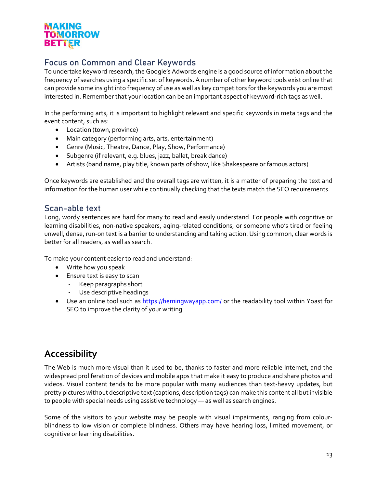# <span id="page-12-0"></span>Focus on Common and Clear Keywords

To undertake keyword research, the Google's Adwords engine is a good source of information about the frequency of searches using a specific set of keywords. A number of other keyword tools exist online that can provide some insight into frequency of use as well as key competitors for the keywords you are most interested in. Remember that your location can be an important aspect of keyword-rich tags as well.

In the performing arts, it is important to highlight relevant and specific keywords in meta tags and the event content, such as:

- Location (town, province)
- Main category (performing arts, arts, entertainment)
- Genre (Music, Theatre, Dance, Play, Show, Performance)
- Subgenre (if relevant, e.g. blues, jazz, ballet, break dance)
- Artists (band name, play title, known parts of show, like Shakespeare or famous actors)

Once keywords are established and the overall tags are written, it is a matter of preparing the text and information for the human user while continually checking that the texts match the SEO requirements.

# <span id="page-12-1"></span>Scan-able text

Long, wordy sentences are hard for many to read and easily understand. For people with cognitive or learning disabilities, non-native speakers, aging-related conditions, or someone who's tired or feeling unwell, dense, run-on text is a barrier to understanding and taking action. Using common, clear words is better for all readers, as well as search.

To make your content easier to read and understand:

- Write how you speak
- Ensure text is easy to scan
	- Keep paragraphs short
	- Use descriptive headings
- Use an online tool such as<https://hemingwayapp.com/> or the readability tool within Yoast for SEO to improve the clarity of your writing

# <span id="page-12-2"></span>**Accessibility**

The Web is much more visual than it used to be, thanks to faster and more reliable Internet, and the widespread proliferation of devices and mobile apps that make it easy to produce and share photos and videos. Visual content tends to be more popular with many audiences than text-heavy updates, but pretty pictures without descriptive text (captions, description tags) can make this content all but invisible to people with special needs using assistive technology — as well as search engines.

Some of the visitors to your website may be people with visual impairments, ranging from colourblindness to low vision or complete blindness. Others may have hearing loss, limited movement, or cognitive or learning disabilities.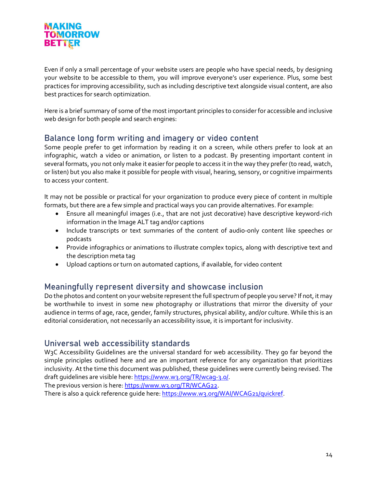Even if only a small percentage of your website users are people who have special needs, by designing your website to be accessible to them, you will improve everyone's user experience. Plus, some best practices for improving accessibility, such as including descriptive text alongside visual content, are also best practices for search optimization.

Here is a brief summary of some of the most important principles to consider for accessible and inclusive web design for both people and search engines:

# <span id="page-13-0"></span>Balance long form writing and imagery or video content

Some people prefer to get information by reading it on a screen, while others prefer to look at an infographic, watch a video or animation, or listen to a podcast. By presenting important content in several formats, you not only make it easier for people to access it in the way they prefer (to read, watch, or listen) but you also make it possible for people with visual, hearing, sensory, or cognitive impairments to access your content.

It may not be possible or practical for your organization to produce every piece of content in multiple formats, but there are a few simple and practical ways you can provide alternatives. For example:

- Ensure all meaningful images (i.e., that are not just decorative) have descriptive keyword-rich information in the Image ALT tag and/or captions
- Include transcripts or text summaries of the content of audio-only content like speeches or podcasts
- Provide infographics or animations to illustrate complex topics, along with descriptive text and the description meta tag
- Upload captions or turn on automated captions, if available, for video content

#### <span id="page-13-1"></span>Meaningfully represent diversity and showcase inclusion

Do the photos and content on your website represent the full spectrum of people you serve? If not, it may be worthwhile to invest in some new photography or illustrations that mirror the diversity of your audience in terms of age, race, gender, family structures, physical ability, and/or culture. While this is an editorial consideration, not necessarily an accessibility issue, it is important for inclusivity.

# <span id="page-13-2"></span>Universal web accessibility standards

W<sub>3</sub>C Accessibility Guidelines are the universal standard for web accessibility. They go far beyond the simple principles outlined here and are an important reference for any organization that prioritizes inclusivity. At the time this document was published, these guidelines were currently being revised. The draft guidelines are visible here[: https://www.w3.org/TR/wcag-3.0/.](https://www.w3.org/TR/wcag-3.0/)

The previous version is here[: https://www.w3.org/TR/WCAG22.](https://www.w3.org/TR/WCAG22)

There is also a quick reference guide here[: https://www.w3.org/WAI/WCAG21/quickref.](https://www.w3.org/WAI/WCAG21/quickref)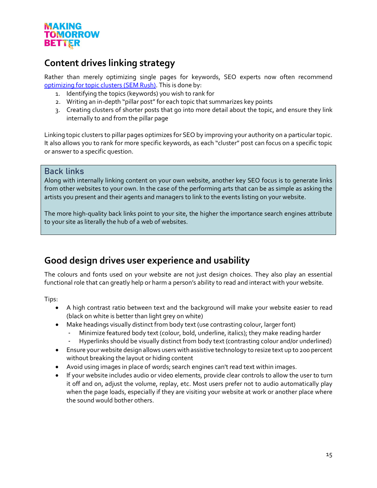

# <span id="page-14-0"></span>**Content drives linking strategy**

Rather than merely optimizing single pages for keywords, SEO experts now often recommend [optimizing for topic clusters](https://www.semrush.com/blog/topic-clusters/) (SEM Rush). This is done by:

- 1. Identifying the topics (keywords) you wish to rank for
- 2. Writing an in-depth "pillar post" for each topic that summarizes key points
- 3. Creating clusters of shorter posts that go into more detail about the topic, and ensure they link internally to and from the pillar page

Linking topic clusters to pillar pages optimizes for SEO by improving your authority on a particular topic. It also allows you to rank for more specific keywords, as each "cluster" post can focus on a specific topic or answer to a specific question.

#### <span id="page-14-1"></span>Back links

Along with internally linking content on your own website, another key SEO focus is to generate links from other websites to your own. In the case of the performing arts that can be as simple as asking the artists you present and their agents and managers to link to the events listing on your website.

The more high-quality back links point to your site, the higher the importance search engines attribute to your site as literally the hub of a web of websites.

# <span id="page-14-2"></span>**Good design drives user experience and usability**

The colours and fonts used on your website are not just design choices. They also play an essential functional role that can greatly help or harm a person's ability to read and interact with your website.

Tips:

- A high contrast ratio between text and the background will make your website easier to read (black on white is better than light grey on white)
- Make headings visually distinct from body text (use contrasting colour, larger font)
	- Minimize featured body text (colour, bold, underline, italics); they make reading harder
	- Hyperlinks should be visually distinct from body text (contrasting colour and/or underlined)
- Ensure your website design allows users with assistive technology to resize text up to 200 percent without breaking the layout or hiding content
- Avoid using images in place of words; search engines can't read text within images.
- If your website includes audio or video elements, provide clear controls to allow the user to turn it off and on, adjust the volume, replay, etc. Most users prefer not to audio automatically play when the page loads, especially if they are visiting your website at work or another place where the sound would bother others.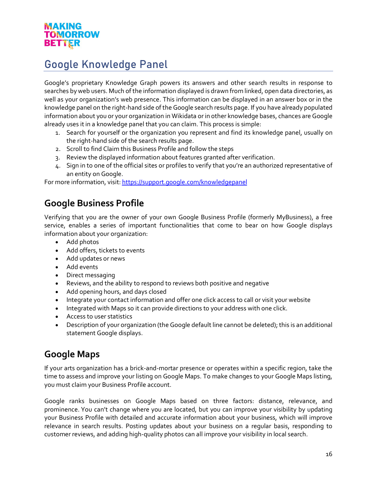# <span id="page-15-0"></span>Google Knowledge Panel

Google's proprietary Knowledge Graph powers its answers and other search results in response to searches by web users. Much of the information displayed is drawn from linked, open data directories, as well as your organization's web presence. This information can be displayed in an answer box or in the knowledge panel on the right-hand side of the Google search results page. If you have already populated information about you or your organization in Wikidata or in other knowledge bases, chances are Google already uses it in a knowledge panel that you can claim. This process is simple:

- 1. Search for yourself or the organization you represent and find its knowledge panel, usually on the right-hand side of the search results page.
- 2. Scroll to find Claim this Business Profile and follow the steps
- 3. Review the displayed information about features granted after verification.
- 4. Sign in to one of the official sites or profiles to verify that you're an authorized representative of an entity on Google.

<span id="page-15-1"></span>For more information, visit: [https://support.google.com/knowledgepanel](https://support.google.com/knowledgepanel/answer/7534902?hl=en)

# **Google Business Profile**

Verifying that you are the owner of your own Google Business Profile (formerly MyBusiness), a free service, enables a series of important functionalities that come to bear on how Google displays information about your organization:

- Add photos
- Add offers, tickets to events
- Add updates or news
- Add events
- Direct messaging
- Reviews, and the ability to respond to reviews both positive and negative
- Add opening hours, and days closed
- Integrate your contact information and offer one click access to call or visit your website
- Integrated with Maps so it can provide directions to your address with one click.
- Access to user statistics
- Description of your organization (the Google default line cannot be deleted); this is an additional statement Google displays.

# <span id="page-15-2"></span>**Google Maps**

If your arts organization has a brick-and-mortar presence or operates within a specific region, take the time to assess and improve your listing on Google Maps. To make changes to your Google Maps listing, you must claim your Business Profile account.

Google ranks businesses on Google Maps based on three factors: distance, relevance, and prominence. You can't change where you are located, but you can improve your visibility by updating your Business Profile with detailed and accurate information about your business, which will improve relevance in search results. Posting updates about your business on a regular basis, responding to customer reviews, and adding high-quality photos can all improve your visibility in local search.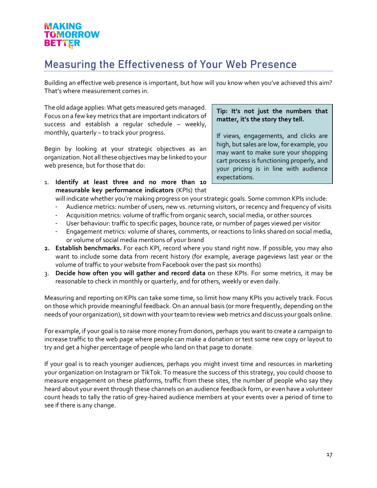# <span id="page-16-0"></span>Measuring the Effectiveness of Your Web Presence

Building an effective web presence is important, but how will you know when you've achieved this aim? That's where measurement comes in.

The old adage applies: What gets measured gets managed. Focus on a few key metrics that are important indicators of success and establish a regular schedule – weekly, monthly, quarterly – to track your progress.

Begin by looking at your strategic objectives as an organization. Not all these objectives may be linked to your web presence, but for those that do:

1. **Identify at least three and no more than 10 measurable key performance indicators** (KPIs) that

#### **Tip: It's not just the numbers that matter, it's the story they tell.**

If views, engagements, and clicks are high, but sales are low, for example, you may want to make sure your shopping cart process is functioning properly, and your pricing is in line with audience expectations.

will indicate whether you're making progress on your strategic goals. Some common KPIs include:

- Audience metrics: number of users, new vs. returning visitors, or recency and frequency of visits
- Acquisition metrics: volume of traffic from organic search, social media, or other sources
- User behaviour: traffic to specific pages, bounce rate, or number of pages viewed per visitor
- Engagement metrics: volume of shares, comments, or reactions to links shared on social media, or volume of social media mentions of your brand
- **2. Establish benchmarks.** For each KPI, record where you stand right now. If possible, you may also want to include some data from recent history (for example, average pageviews last year or the volume of traffic to your website from Facebook over the past six months)
- 3. **Decide how often you will gather and record data** on these KPIs. For some metrics, it may be reasonable to check in monthly or quarterly, and for others, weekly or even daily.

Measuring and reporting on KPIs can take some time, so limit how many KPIs you actively track. Focus on those which provide meaningful feedback. On an annual basis (or more frequently, depending on the needs of your organization), sit down with your team to review web metrics and discuss your goals online.

For example, if your goal is to raise more money from donors, perhaps you want to create a campaign to increase traffic to the web page where people can make a donation or test some new copy or layout to try and get a higher percentage of people who land on that page to donate.

If your goal is to reach younger audiences, perhaps you might invest time and resources in marketing your organization on Instagram or TikTok. To measure the success of this strategy, you could choose to measure engagement on these platforms, traffic from these sites, the number of people who say they heard about your event through these channels on an audience feedback form, or even have a volunteer count heads to tally the ratio of grey-haired audience members at your events over a period of time to see if there is any change.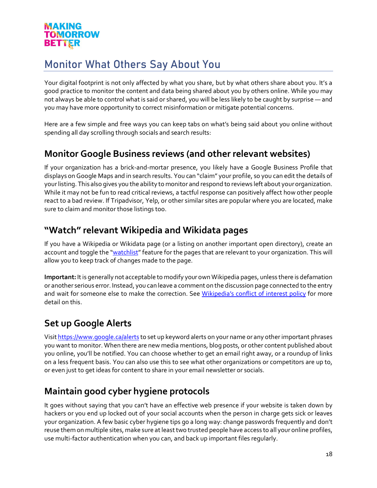# <span id="page-17-0"></span>Monitor What Others Say About You

Your digital footprint is not only affected by what you share, but by what others share about you. It's a good practice to monitor the content and data being shared about you by others online. While you may not always be able to control what is said or shared, you will be less likely to be caught by surprise — and you may have more opportunity to correct misinformation or mitigate potential concerns.

Here are a few simple and free ways you can keep tabs on what's being said about you online without spending all day scrolling through socials and search results:

# <span id="page-17-1"></span>**Monitor Google Business reviews (and other relevant websites)**

If your organization has a brick-and-mortar presence, you likely have a Google Business Profile that displays on Google Maps and in search results. You can "claim" your profile, so you can edit the details of your listing. This also gives you the ability to monitor and respond to reviews left about your organization. While it may not be fun to read critical reviews, a tactful response can positively affect how other people react to a bad review. If Tripadvisor, Yelp, or other similar sites are popular where you are located, make sure to claim and monitor those listings too.

# <span id="page-17-2"></span>**"Watch" relevant Wikipedia and Wikidata pages**

If you have a Wikipedia or Wikidata page (or a listing on another important open directory), create an account and toggle the ["watchlist"](https://en.wikipedia.org/wiki/Help:Watchlist) feature for the pages that are relevant to your organization. This will allow you to keep track of changes made to the page.

**Important:**It is generally not acceptable to modify your own Wikipedia pages, unless there is defamation or another serious error. Instead, you can leave a comment on the discussion page connected to the entry and wait for someone else to make the correction. See [Wikipedia's conflict of interest policy](https://en.wikipedia.org/wiki/Wikipedia:Conflict_of_interest#Writing_about_yourself,_family,_friends) for more detail on this.

# <span id="page-17-3"></span>**Set up Google Alerts**

Visi[t https://www.google.ca/alerts](https://www.google.ca/alerts) to set up keyword alerts on your name or any other important phrases you want to monitor. When there are new media mentions, blog posts, or other content published about you online, you'll be notified. You can choose whether to get an email right away, or a roundup of links on a less frequent basis. You can also use this to see what other organizations or competitors are up to, or even just to get ideas for content to share in your email newsletter or socials.

# <span id="page-17-4"></span>**Maintain good cyber hygiene protocols**

It goes without saying that you can't have an effective web presence if your website is taken down by hackers or you end up locked out of your social accounts when the person in charge gets sick or leaves your organization. A few basic cyber hygiene tips go a long way: change passwords frequently and don't reuse them on multiple sites, make sure at least two trusted people have access to all your online profiles, use multi-factor authentication when you can, and back up important files regularly.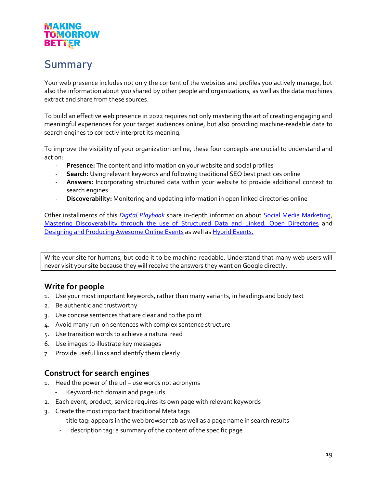# <span id="page-18-0"></span>Summary

Your web presence includes not only the content of the websites and profiles you actively manage, but also the information about you shared by other people and organizations, as well as the data machines extract and share from these sources.

To build an effective web presence in 2022 requires not only mastering the art of creating engaging and meaningful experiences for your target audiences online, but also providing machine-readable data to search engines to correctly interpret its meaning.

To improve the visibility of your organization online, these four concepts are crucial to understand and act on:

- **Presence:** The content and information on your website and social profiles
- **Search:** Using relevant keywords and following traditional SEO best practices online
- **Answers:** Incorporating structured data within your website to provide additional context to search engines
- **Discoverability:** Monitoring and updating information in open linked directories online

Other installments of this *[Digital Playbook](https://digitalartsnation.ca/digital-playbook/)* share in-depth information about [Social Media Marketing,](https://digitalartsnation.ca/digital-playbook/social-media-marketing-playbook/) [Mastering Discoverability through the use of Structured Data and Linked, Open Directories](https://digitalartsnation.ca/digital-playbook/mastering-discoverability-for-the-performing-arts/) and [Designing and Producing Awesome Online Events](https://digitalartsnation.ca/digital-playbook/how-to-create-awesome-online-conferences/) as well a[s Hybrid Events.](https://digitalartsnation.ca/digital-playbook/how-to-design-events-for-blended-audiences/)

Write your site for humans, but code it to be machine-readable. Understand that many web users will never visit your site because they will receive the answers they want on Google directly.

# **Write for people**

- 1. Use your most important keywords, rather than many variants, in headings and body text
- 2. Be authentic and trustworthy
- 3. Use concise sentences that are clear and to the point
- 4. Avoid many run-on sentences with complex sentence structure
- 5. Use transition words to achieve a natural read
- 6. Use images to illustrate key messages
- 7. Provide useful links and identify them clearly

# **Construct for search engines**

- 1. Heed the power of the url use words not acronyms
	- Keyword-rich domain and page urls
- 2. Each event, product, service requires its own page with relevant keywords
- 3. Create the most important traditional Meta tags
	- title tag: appears in the web browser tab as well as a page name in search results
		- description tag: a summary of the content of the specific page